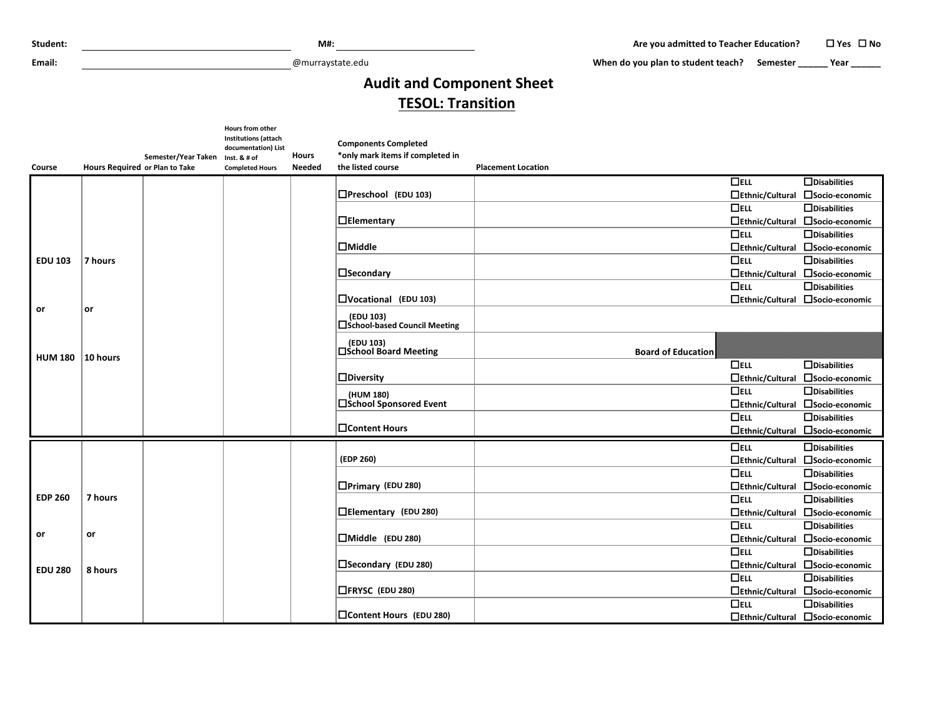**Email:** @murraystate.edu

When do you plan to student teach? Semester **\_\_\_\_\_\_** Year **\_\_\_\_\_\_** 

## **Audit and Component Sheet TESOL: Transition**

|                |                                |                                  | Hours from other<br><b>Institutions (attach</b><br>documentation) List |               | <b>Components Completed</b>                 |                           |                        |                                  |
|----------------|--------------------------------|----------------------------------|------------------------------------------------------------------------|---------------|---------------------------------------------|---------------------------|------------------------|----------------------------------|
|                |                                | Semester/Year Taken Inst. & # of |                                                                        | <b>Hours</b>  | *only mark items if completed in            |                           |                        |                                  |
| <b>Course</b>  | Hours Required or Plan to Take |                                  | <b>Completed Hours</b>                                                 | <b>Needed</b> | the listed course                           | <b>Placement Location</b> |                        |                                  |
|                |                                |                                  |                                                                        |               |                                             |                           | $\Box$ ELL             | $\Box$ Disabilities              |
|                |                                |                                  |                                                                        |               | $D$ Preschool (EDU 103)                     |                           | $\Box$ Ethnic/Cultural | □Socio-economic                  |
|                |                                |                                  |                                                                        |               |                                             |                           | $\Box$ ELL             | $\Box$ Disabilities              |
|                |                                |                                  |                                                                        |               | $\Box$ Elementary                           |                           | $\Box$ Ethnic/Cultural | □Socio-economic                  |
|                |                                |                                  |                                                                        |               |                                             |                           | $\Box$ ELL             | $\Box$ Disabilities              |
|                |                                |                                  |                                                                        |               | $\Box$ Middle                               |                           | $\Box$ Ethnic/Cultural | □ Socio-economic                 |
| <b>EDU 103</b> | 7 hours                        |                                  |                                                                        |               |                                             |                           | $\Box$ ELL             | $\Box$ Disabilities              |
|                |                                |                                  |                                                                        |               | $\square$ Secondary                         |                           | $\Box$ Ethnic/Cultural | □Socio-economic                  |
|                |                                |                                  |                                                                        |               |                                             |                           | $\Box$ ELL             | $\Box$ Disabilities              |
|                |                                |                                  |                                                                        |               | $\Box$ Vocational (EDU 103)                 |                           | $\Box$ Ethnic/Cultural | □ Socio-economic                 |
| or             | or                             |                                  |                                                                        |               | (EDU 103)<br>□ School-based Council Meeting |                           |                        |                                  |
| <b>HUM 180</b> | 10 hours                       |                                  |                                                                        |               | (EDU 103)<br>□School Board Meeting          | <b>Board of Education</b> |                        |                                  |
|                |                                |                                  |                                                                        |               |                                             |                           | $\Box$ ELL             | $\Box$ Disabilities              |
|                |                                |                                  |                                                                        |               | $\Box$ Diversity                            |                           | $\Box$ Ethnic/Cultural | □Socio-economic                  |
|                |                                |                                  |                                                                        |               | (HUM 180)                                   |                           | $\Box$ ELL             | $\Box$ Disabilities              |
|                |                                |                                  |                                                                        |               | □School Sponsored Event                     |                           | $\Box$ Ethnic/Cultural | □Socio-economic                  |
|                |                                |                                  |                                                                        |               |                                             |                           | $\Box$ ELL             | $\Box$ Disabilities              |
|                |                                |                                  |                                                                        |               | □Content Hours                              |                           | $\Box$ Ethnic/Cultural | □ Socio-economic                 |
|                |                                |                                  |                                                                        |               |                                             |                           | $\Box$ ELL             | $\Box$ Disabilities              |
|                |                                |                                  |                                                                        |               | (EDP 260)                                   |                           | $\Box$ Ethnic/Cultural | □Socio-economic                  |
|                |                                |                                  |                                                                        |               |                                             |                           | $\Box$ ELL             | $\Box$ Disabilities              |
|                |                                |                                  |                                                                        |               | $\Box$ Primary (EDU 280)                    |                           | $\Box$ Ethnic/Cultural | □ Socio-economic                 |
| <b>EDP 260</b> | 7 hours                        |                                  |                                                                        |               |                                             |                           | $\Box$ ELL             | $\Box$ Disabilities              |
|                |                                |                                  |                                                                        |               | □Elementary (EDU 280)                       |                           | $\Box$ Ethnic/Cultural | □Socio-economic                  |
|                |                                |                                  |                                                                        |               |                                             |                           | $\Box$ ELL             | $\Box$ Disabilities              |
| or             | or                             |                                  |                                                                        |               | $\Box$ Middle (EDU 280)                     |                           |                        | □Ethnic/Cultural □Socio-economic |
|                |                                |                                  |                                                                        |               |                                             |                           | $\Box$ ELL             | $\Box$ Disabilities              |
| <b>EDU 280</b> | 8 hours                        |                                  |                                                                        |               | □Secondary (EDU 280)                        |                           |                        | □Ethnic/Cultural □Socio-economic |
|                |                                |                                  |                                                                        |               |                                             |                           | $\Box$ ELL             | $\Box$ Disabilities              |
|                |                                |                                  |                                                                        |               | □FRYSC (EDU 280)                            |                           | $\Box$ Ethnic/Cultural | □ Socio-economic                 |
|                |                                |                                  |                                                                        |               |                                             |                           | $\Box$ ELL             | $\Box$ Disabilities              |
|                |                                |                                  |                                                                        |               | Content Hours (EDU 280)                     |                           |                        | □Ethnic/Cultural □Socio-economic |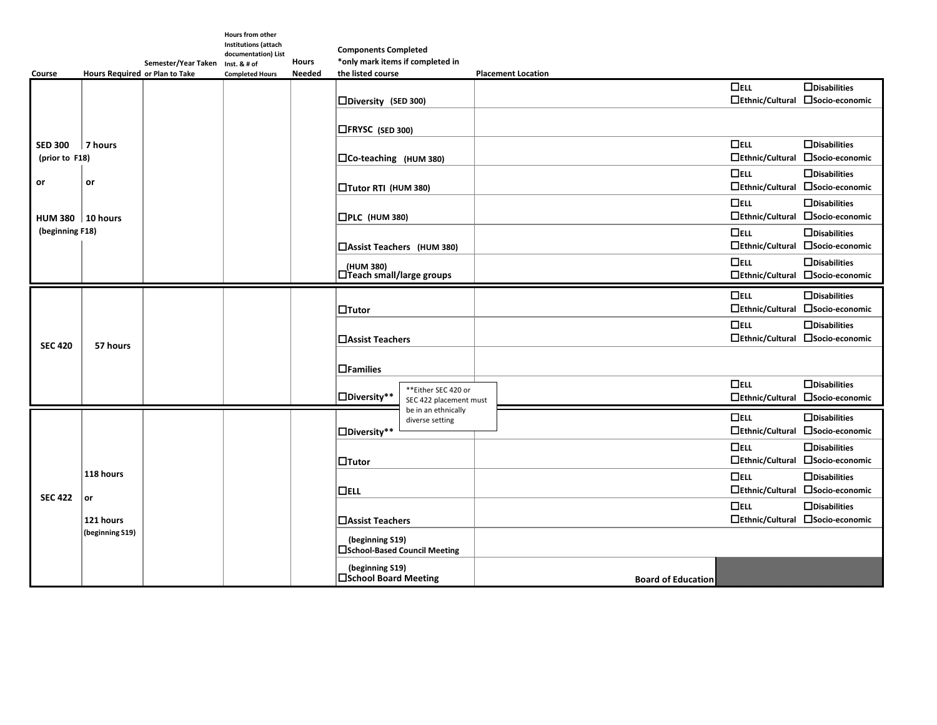|                    |                                                     | Semester/Year Taken | <b>Hours from other</b><br>Institutions (attach<br>documentation) List | <b>Hours</b>  | <b>Components Completed</b><br>*only mark items if completed in |                                               |                           |                                      |                                                         |
|--------------------|-----------------------------------------------------|---------------------|------------------------------------------------------------------------|---------------|-----------------------------------------------------------------|-----------------------------------------------|---------------------------|--------------------------------------|---------------------------------------------------------|
| <b>Course</b>      | Hours Required or Plan to Take                      |                     | Inst. & # of<br><b>Completed Hours</b>                                 | <b>Needed</b> | the listed course                                               |                                               | <b>Placement Location</b> |                                      |                                                         |
|                    |                                                     |                     |                                                                        |               | $\square$ Diversity (SED 300)                                   |                                               |                           | $\Box$ ELL<br>$\Box$ Ethnic/Cultural | $\Box$ Disabilities<br>□Socio-economic                  |
|                    |                                                     |                     |                                                                        |               | $\Box$ FRYSC (SED 300)                                          |                                               |                           |                                      |                                                         |
| <b>SED 300</b>     | 7 hours<br>(prior to F18)                           |                     |                                                                        |               | □Co-teaching (HUM 380)                                          |                                               |                           | $\Box$ ELL<br>$\Box$ Ethnic/Cultural | $\Box$ Disabilities<br>□Socio-economic                  |
| or                 | or                                                  |                     |                                                                        |               | □Tutor RTI (HUM 380)                                            |                                               |                           | $\Box$ ELL<br>$\Box$ Ethnic/Cultural | $\Box$ Disabilities<br>□Socio-economic                  |
| HUM 380   10 hours |                                                     |                     |                                                                        |               | $\square$ PLC (HUM 380)                                         |                                               |                           | $\Box$ ELL<br>$\Box$ Ethnic/Cultural | $\Box$ Disabilities<br>□Socio-economic                  |
| (beginning F18)    |                                                     |                     |                                                                        |               | □Assist Teachers (HUM 380)                                      |                                               |                           | $\Box$ ELL<br>$\Box$ Ethnic/Cultural | $\Box$ Disabilities<br>□Socio-economic                  |
|                    |                                                     |                     |                                                                        |               | (HUM 380)<br>□Teach small/large groups                          |                                               |                           | $\Box$ ELL<br>$\Box$ Ethnic/Cultural | $\Box$ Disabilities<br>□ Socio-economic                 |
| <b>SEC 420</b>     | 57 hours                                            |                     |                                                                        |               | $\Box$ Tutor                                                    |                                               |                           | $\Box$ ELL<br>$\Box$ Ethnic/Cultural | $\Box$ Disabilities<br>□Socio-economic                  |
|                    |                                                     |                     |                                                                        |               | □ Assist Teachers                                               |                                               |                           | $\Box$ ELL<br>$\Box$ Ethnic/Cultural | $\Box$ Disabilities<br>□Socio-economic                  |
|                    |                                                     |                     |                                                                        |               | $\Box$ Families                                                 |                                               |                           |                                      |                                                         |
|                    |                                                     |                     |                                                                        |               | $\Box$ Diversity**                                              | **Either SEC 420 or<br>SEC 422 placement must |                           | $\Box$ ELL<br>$\Box$ Ethnic/Cultural | $\Box$ Disabilities<br>□Socio-economic                  |
| <b>SEC 422</b>     | 118 hours<br>$ $ or<br>121 hours<br>(beginning S19) |                     |                                                                        |               | $\Box$ Diversity**                                              | be in an ethnically<br>diverse setting        |                           | $\Box$ ELL                           | $\Box$ Disabilities<br>□Ethnic/Cultural □Socio-economic |
|                    |                                                     |                     |                                                                        |               | $\Box$ Tutor                                                    |                                               |                           | $\Box$ ELL<br>$\Box$ Ethnic/Cultural | $\Box$ Disabilities<br>□Socio-economic                  |
|                    |                                                     |                     |                                                                        |               | $\Box$ ELL                                                      |                                               |                           | $\Box$ ELL<br>$\Box$ Ethnic/Cultural | $\Box$ Disabilities<br>□Socio-economic                  |
|                    |                                                     |                     |                                                                        |               | □ Assist Teachers                                               |                                               |                           | $\Box$ ELL<br>$\Box$ Ethnic/Cultural | $\Box$ Disabilities<br>□Socio-economic                  |
|                    |                                                     |                     |                                                                        |               | (beginning S19)<br>□School-Based Council Meeting                |                                               |                           |                                      |                                                         |
|                    |                                                     |                     |                                                                        |               | (beginning S19)<br>□School Board Meeting                        |                                               |                           | <b>Board of Education</b>            |                                                         |